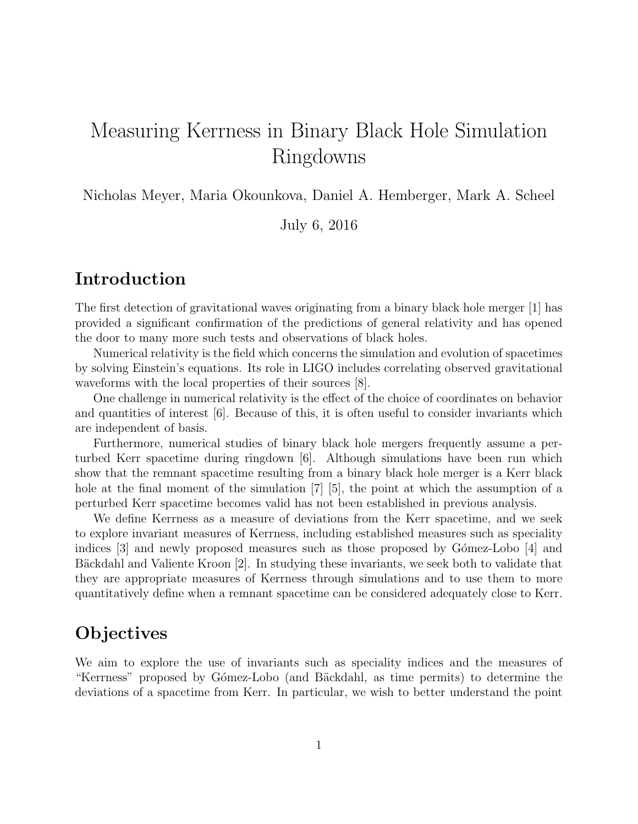# Measuring Kerrness in Binary Black Hole Simulation Ringdowns

Nicholas Meyer, Maria Okounkova, Daniel A. Hemberger, Mark A. Scheel

July 6, 2016

## Introduction

The first detection of gravitational waves originating from a binary black hole merger [1] has provided a significant confirmation of the predictions of general relativity and has opened the door to many more such tests and observations of black holes.

Numerical relativity is the field which concerns the simulation and evolution of spacetimes by solving Einstein's equations. Its role in LIGO includes correlating observed gravitational waveforms with the local properties of their sources [8].

One challenge in numerical relativity is the effect of the choice of coordinates on behavior and quantities of interest [6]. Because of this, it is often useful to consider invariants which are independent of basis.

Furthermore, numerical studies of binary black hole mergers frequently assume a perturbed Kerr spacetime during ringdown [6]. Although simulations have been run which show that the remnant spacetime resulting from a binary black hole merger is a Kerr black hole at the final moment of the simulation [7] [5], the point at which the assumption of a perturbed Kerr spacetime becomes valid has not been established in previous analysis.

We define Kerrness as a measure of deviations from the Kerr spacetime, and we seek to explore invariant measures of Kerrness, including established measures such as speciality indices  $\lceil 3 \rceil$  and newly proposed measures such as those proposed by Gómez-Lobo  $\lceil 4 \rceil$  and Bäckdahl and Valiente Kroon [2]. In studying these invariants, we seek both to validate that they are appropriate measures of Kerrness through simulations and to use them to more quantitatively define when a remnant spacetime can be considered adequately close to Kerr.

# **Objectives**

We aim to explore the use of invariants such as speciality indices and the measures of "Kerrness" proposed by G´omez-Lobo (and B¨ackdahl, as time permits) to determine the deviations of a spacetime from Kerr. In particular, we wish to better understand the point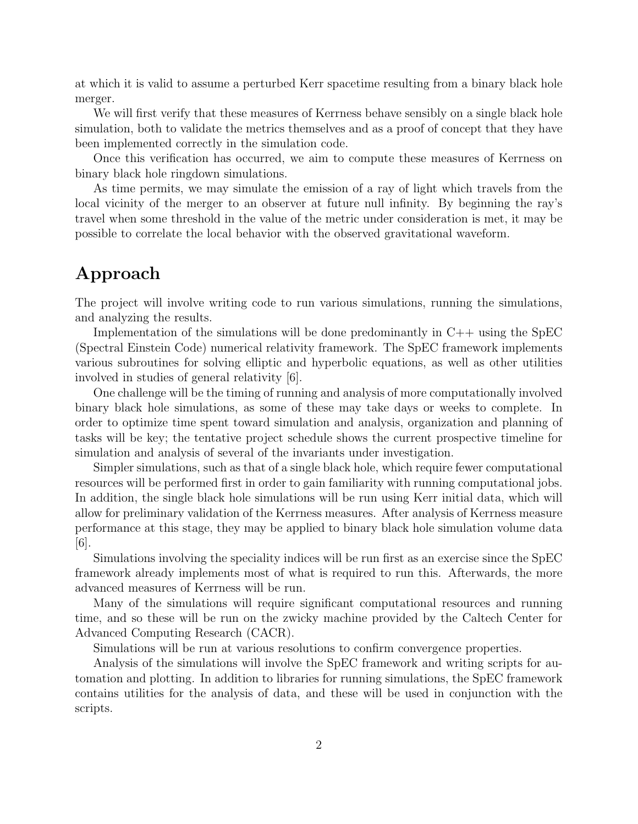at which it is valid to assume a perturbed Kerr spacetime resulting from a binary black hole merger.

We will first verify that these measures of Kerrness behave sensibly on a single black hole simulation, both to validate the metrics themselves and as a proof of concept that they have been implemented correctly in the simulation code.

Once this verification has occurred, we aim to compute these measures of Kerrness on binary black hole ringdown simulations.

As time permits, we may simulate the emission of a ray of light which travels from the local vicinity of the merger to an observer at future null infinity. By beginning the ray's travel when some threshold in the value of the metric under consideration is met, it may be possible to correlate the local behavior with the observed gravitational waveform.

# Approach

The project will involve writing code to run various simulations, running the simulations, and analyzing the results.

Implementation of the simulations will be done predominantly in  $C++$  using the SpEC (Spectral Einstein Code) numerical relativity framework. The SpEC framework implements various subroutines for solving elliptic and hyperbolic equations, as well as other utilities involved in studies of general relativity [6].

One challenge will be the timing of running and analysis of more computationally involved binary black hole simulations, as some of these may take days or weeks to complete. In order to optimize time spent toward simulation and analysis, organization and planning of tasks will be key; the tentative project schedule shows the current prospective timeline for simulation and analysis of several of the invariants under investigation.

Simpler simulations, such as that of a single black hole, which require fewer computational resources will be performed first in order to gain familiarity with running computational jobs. In addition, the single black hole simulations will be run using Kerr initial data, which will allow for preliminary validation of the Kerrness measures. After analysis of Kerrness measure performance at this stage, they may be applied to binary black hole simulation volume data [6].

Simulations involving the speciality indices will be run first as an exercise since the SpEC framework already implements most of what is required to run this. Afterwards, the more advanced measures of Kerrness will be run.

Many of the simulations will require significant computational resources and running time, and so these will be run on the zwicky machine provided by the Caltech Center for Advanced Computing Research (CACR).

Simulations will be run at various resolutions to confirm convergence properties.

Analysis of the simulations will involve the SpEC framework and writing scripts for automation and plotting. In addition to libraries for running simulations, the SpEC framework contains utilities for the analysis of data, and these will be used in conjunction with the scripts.